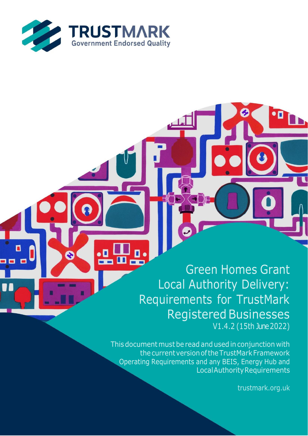

О

Green Homes Grant Local Authority Delivery: Requirements for TrustMark **Registered Businesses** V1.4.2 (15th June2022)

This document must be read and used in conjunction with thecurrentversionoftheTrustMarkFramework Operating Requirements and any BEIS, Energy Hub and LocalAuthorityRequirements

trustmark.org.uk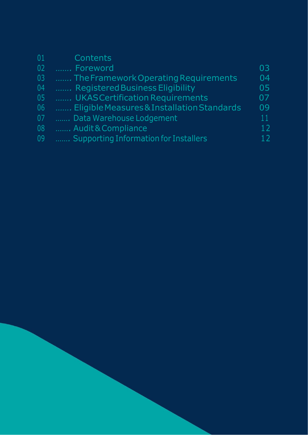| Contents                                     |    |
|----------------------------------------------|----|
| Foreword                                     | 03 |
| The Framework Operating Requirements         | 04 |
| Registered Business Eligibility              | 05 |
| UKAS Certification Requirements              | 07 |
| Eligible Measures & Installation Standards   | 09 |
| Data Warehouse Lodgement                     | 11 |
| Audit & Compliance                           | 12 |
| <b>Supporting Information for Installers</b> |    |
|                                              |    |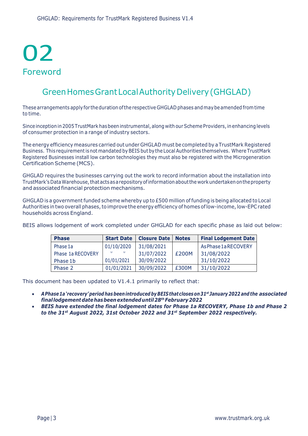# 02 Foreword

### Green Homes Grant Local Authority Delivery (GHGLAD)

These arrangements apply for the duration of the respective GHGLAD phases and may be amended from time to time.

Since inception in 2005 TrustMark has been instrumental, along with our Scheme Providers, in enhancing levels of consumer protection in a range of industry sectors.

The energy efficiency measures carried out under GHGLAD must be completed by a TrustMark Registered Business. This requirement is not mandated by BEIS but by the Local Authorities themselves. Where TrustMark Registered Businesses install low carbon technologies they must also be registered with the Microgeneration Certification Scheme (MCS).

GHGLAD requires the businesses carrying out the work to record information about the installation into TrustMark'sDataWarehouse,thatactsasarepositoryofinformationaboutthe workundertakenontheproperty and associated financial protection mechanisms.

GHGLAD is a government funded scheme whereby up to  $E$ 500 million of funding is being allocated to Local Authorities in two overall phases, to improve the energy efficiency of homes of low-income, low-EPC rated households across England.

BEIS allows lodgement of work completed under GHGLAD for each specific phase as laid out below:

| <b>Phase</b>      | <b>Start Date</b>            | <b>Closure Date</b> | <b>Notes</b> | <b>Final Lodgement Date</b> |
|-------------------|------------------------------|---------------------|--------------|-----------------------------|
| Phase 1a          | 01/10/2020                   | 31/08/2021          |              | As Phase 1a RECOVERY        |
| Phase 1a RECOVERY | $\mathbf{v}$<br>$\mathbf{v}$ | 31/07/2022          | £200M        | 31/08/2022                  |
| Phase 1b          | 01/01/2021                   | 30/09/2022          |              | 31/10/2022                  |
| Phase 2           | 01/01/2021                   | 30/09/2022          | £300M        | 31/10/2022                  |

This document has been updated to V1.4.1 primarily to reflect that:

- *APhase 1a'recovery'period hasbeen introducedby BEIS thatcloseson 31st January 2022 and the associated finallodgementdatehasbeen extendeduntil28th February2022*
- *BEIS have extended the final lodgement dates for Phase 1a RECOVERY, Phase 1b and Phase 2 to the 31st August 2022, 31st October 2022 and 31st September 2022 respectively.*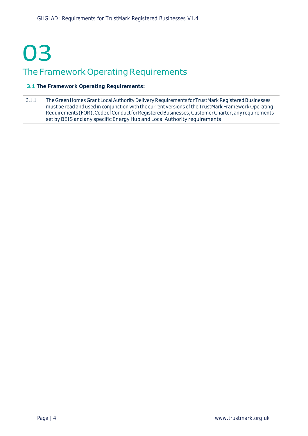## 03 The Framework Operating Requirements

#### **3.1 The Framework Operating Requirements:**

3.1.1 The Green Homes Grant Local Authority Delivery Requirements for TrustMark Registered Businesses mustbe read andused in conjunction with the current versions ofthe TrustMark Framework Operating Requirements(FOR),CodeofConductforRegisteredBusinesses,CustomerCharter,anyrequirements set by BEIS and any specific Energy Hub and Local Authority requirements.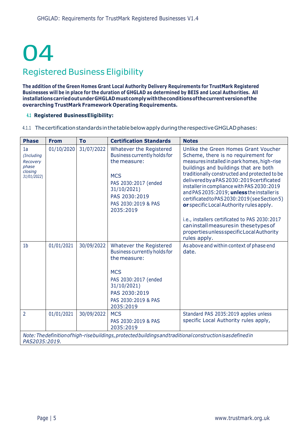# 04

### Registered Business Eligibility

**The addition of the Green Homes Grant Local Authority Delivery Requirements for TrustMark Registered**  Businesses will be in place for the duration of GHGLAD as determined by BEIS and Local Authorities. All **installationscarriedoutunderGHGLADmustcomplywiththeconditionsofthecurrentversionofthe overarching TrustMark Framework Operating Requirements.**

#### **4.1 Registered BusinessEligibility:**

4.1.1 The certification standards in the table below apply during the respective GHGLAD phases:

| <b>Phase</b>                                                    | <b>From</b> | To         | <b>Certification Standards</b>                                                                                                                                                    | <b>Notes</b>                                                                                                                                                                                                                                                                                                                                                                                                                                                |
|-----------------------------------------------------------------|-------------|------------|-----------------------------------------------------------------------------------------------------------------------------------------------------------------------------------|-------------------------------------------------------------------------------------------------------------------------------------------------------------------------------------------------------------------------------------------------------------------------------------------------------------------------------------------------------------------------------------------------------------------------------------------------------------|
| 1a<br>(Including<br>Recovery<br>phase<br>closing<br>31/01/2022) | 01/10/2020  | 31/07/2022 | Whatever the Registered<br>Business currently holds for<br>the measure:<br><b>MCS</b><br>PAS 2030:2017 (ended<br>31/10/2021)<br>PAS 2030:2019<br>PAS 2030:2019 & PAS<br>2035:2019 | Unlike the Green Homes Grant Voucher<br>Scheme, there is no requirement for<br>measures installed in park homes, high-rise<br>buildings and buildings that are both<br>traditionally constructed and protected to be<br>delivered by a PAS 2030: 2019 certificated<br>installer in compliance with PAS 2030:2019<br>and PAS 2035:2019; unless the installer is<br>certificated to PAS 2030:2019 (see Section 5)<br>or specific Local Authority rules apply. |
|                                                                 |             |            |                                                                                                                                                                                   | i.e., installers certificated to PAS 2030:2017<br>can install measures in these types of<br>properties unless specific Local Authority<br>rules apply.                                                                                                                                                                                                                                                                                                      |
| 1 <sub>b</sub>                                                  | 01/01/2021  | 30/09/2022 | Whatever the Registered<br>Business currently holds for<br>the measure:<br><b>MCS</b><br>PAS 2030:2017 (ended<br>31/10/2021)<br>PAS 2030:2019<br>PAS 2030:2019 & PAS<br>2035:2019 | As above and within context of phase end<br>date.                                                                                                                                                                                                                                                                                                                                                                                                           |
| $\overline{2}$                                                  | 01/01/2021  | 30/09/2022 | <b>MCS</b><br>PAS 2030:2019 & PAS<br>2035:2019                                                                                                                                    | Standard PAS 2035:2019 applies unless<br>specific Local Authority rules apply,                                                                                                                                                                                                                                                                                                                                                                              |
| PAS2035:2019.                                                   |             |            |                                                                                                                                                                                   | Note: The definition of high-rise buildings, protected buildings and traditional construction is as defined in                                                                                                                                                                                                                                                                                                                                              |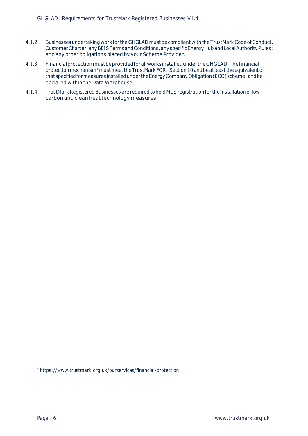- 4.1.2 Businesses undertaking work for the GHGLAD must be compliant with the TrustMark Code of Conduct, Customer Charter, any BEIS Terms and Conditions, any specific Energy Hub and Local Authority Rules; and any other obligations placed by your Scheme Provider.
- 4.1.3 FinancialprotectionmustbeprovidedforallworksinstalledundertheGHGLAD.Thefinancial protection mechanism**<sup>1</sup>** mustmeetthe TrustMark FOR -Section10 andbe atleastthe equivalent of thatspecifiedformeasures installedunder theEnergyCompanyObligation(ECO) scheme; andbe declared within the Data Warehouse.
- 4.1.4 TrustMark Registered Businesses are required to hold MCS registration for the installation of low carbon and clean heat technology measures.

**1** https:[//www.trustmark.org.uk/ourservices/financial-protection](http://www.trustmark.org.uk/ourservices/financial-protection)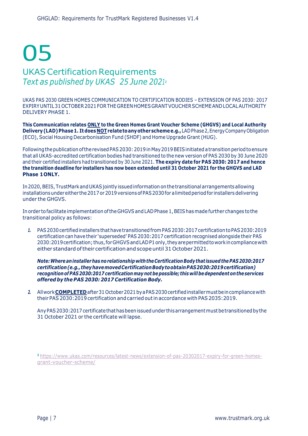### 05 UKAS Certification Requirements *Text as published by UKAS 25 June 2021<sup>2</sup>*

UKAS PAS 2030 GREEN HOMES COMMUNICATION TO CERTIFICATION BODIES – EXTENSION OF PAS 2030: 2017 EXPIRYUNTIL31OCTOBER2021FORTHEGREENHOMESGRANTVOUCHERSCHEMEANDLOCALAUTHORITY DELIVERY PHASE 1.

**This Communication relates ONLY to the Green Homes Grant Voucher Scheme (GHGVS) and Local Authority Delivery(LAD)Phase1. Itdoes NOTrelatetoanyotherschemee.g.,**LADPhase2,EnergyCompanyObligation (ECO), Social Housing Decarbonisation Fund (SHDF) and Home Upgrade Grant (HUG).

Following the publication of the revised PAS 2030: 2019 in May 2019 BEIS initiated a transition period to ensure that all UKAS-accredited certification bodies had transitioned to the new version of PAS 2030 by 30 June 2020 and their certified installers had transitioned by 30 June 2021. **The expiry date for PAS 2030: 2017 and hence**  the transition deadline for installers has now been extended until 31 October 2021 for the GHGVS and LAD **Phase 1ONLY.**

In2020,BEIS, TrustMark andUKASjointly issuedinformation onthetransitional arrangementsallowing installations under either the 2017 or 2019 versions of PAS 2030 for a limited period for installers delivering under the GHGVS.

In order to facilitate implementation of the GHGVS and LAD Phase 1, BEIS has made further changes to the transitional policy as follows:

*1.* PAS2030certifiedinstallers thathavetransitionedfrom PAS2030:2017certificationtoPAS2030:2019 certification can have their 'superseded' PAS 2030:2017 certification recognised alongside their PAS 2030:2019certification; thus,forGHGVSandLADP1only,theyarepermittedtoworkincompliancewith either standard oftheir certificationand scopeuntil 31 October2021.

*Note:Wherean installer has norelationshipwith the Certification Bodythat issuedthe PAS 2030:2017 certification(e.g.,theyhavemovedCertificationBodytoobtainPAS2030:2019certification) recognition of PAS 2030:2017 certificationmay notbepossible; this willbedependent on the services offered by the PAS 2030: 2017 Certification Body.*

*2.* Allwork**COMPLETED**after31October2021byaPAS2030certifiedinstallermustbeincompliancewith their PAS 2030:2019 certification and carried outin accordance with PAS 2035:2019.

AnyPAS2030:2017certificatethathasbeenissuedunder thisarrangementmustbetransitioned bythe 31 October 2021 or the certificate will lapse.

**2** [https://www.ukas.com/resources/latest-news/extension-of-pas-20302017-expiry-for-green-homes](https://www.ukas.com/resources/latest-news/extension-of-pas-20302017-expiry-for-green-homes-grant-voucher-scheme/)[grant-voucher-scheme/](https://www.ukas.com/resources/latest-news/extension-of-pas-20302017-expiry-for-green-homes-grant-voucher-scheme/)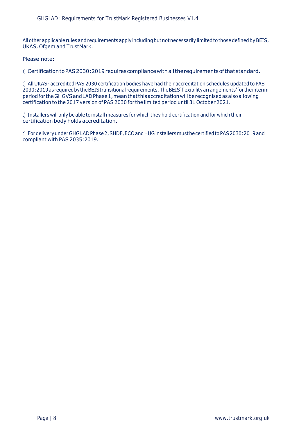All other applicable rules and requirements apply including but not necessarily limited to those defined by BEIS, UKAS, Ofgem and TrustMark.

Please note:

a) Certification to PAS 2030: 2019 requires compliance with all the requirements of that standard.

b) All UKAS- accredited PAS 2030 certification bodies have had their accreditation schedules updated to PAS 2030:2019asrequiredbytheBEIStransitional requirements. TheBEIS'flexibilityarrangements'fortheinterim period for the GHGVS and LAD Phase 1, mean that this accreditation will be recognised as also allowing certification to the 2017 version of PAS 2030 for the limited period until 31 October 2021.

c) Installers will only be able to install measures for which they hold certification and for which their certification body holds accreditation.

d) For delivery under GHGLAD Phase 2, SHDF, ECO and HUG installers must be certified to PAS 2030:2019 and compliant with PAS 2035:2019.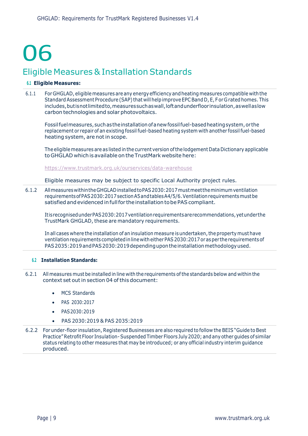# 06

### Eligible Measures & Installation Standards

#### **6.1 Eligible Measures:**

6.1.1 For GHGLAD, eligiblemeasures are any energy efficiency andheating measures compatible with the Standard Assessment Procedure (SAP) that willhelp improve EPCBand D, E,F or Grated homes. This includes, butisnot limited to, measures such as wall, loft and underfloor insulation, as well as low carbon technologies and solar photovoltaics.

Fossilfuelmeasures,suchastheinstallationofanewfossilfuel-basedheatingsystem,or the replacement or repair of an existing fossil fuel-based heating system with another fossilfuel-based heating system, are not in scope.

The eligiblemeasures are as listed in the current version ofthe lodgement Data Dictionary applicable toGHGLAD which is available on theTrustMark website here:

<https://www.trustmark.org.uk/ourservices/data-warehouse>

Eligible measures may be subject to specific Local Authority project rules.

6.1.2 AllmeasureswithintheGHGLADinstalledtoPAS2030:2017mustmeettheminimumventilation requirementsofPAS2030:2017sectionA5andtablesA4/5/6.Ventilationrequirementsmustbe satisfied and evidenced in full for the installation to be PAS compliant.

ItisrecognisedunderPAS2030:2017ventilationrequirementsarerecommendations,yetunderthe TrustMark GHGLAD, these are mandatory requirements.

In all cases where the installation of an insulation measure is undertaken, the property must have ventilation requirements completed in line with either PAS 2030:2017 or as per the requirements of PAS 2035:2019 and PAS 2030:2019 depending upon the installation methodology used.

#### **6.2 Installation Standards:**

- 6.2.1 All measures must be installed in line with the requirements ofthe standards below and within the context set out in section 04 of this document:
	- **MCS Standards**
	- PAS 2030:2017
	- PAS2030:2019
	- PAS 2030:2019 & PAS 2035:2019
- 6.2.2 For under-floor insulation, Registered Businesses are also required to follow the BEIS "Guide to Best Practice"Retrofit Floor Insulation-Suspended Timber Floors July2020; and any other guides of similar status relating to other measures that may be introduced; or any official industry interim guidance produced.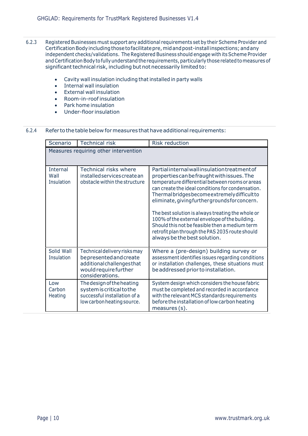- 6.2.3 Registered Businesses must support any additional requirements set by their Scheme Provider and Certification Body including those to facilitate pre, mid and post-install inspections; and any independent checks/validations. The Registered Business should engage with its Scheme Provider and Certification Body to fully understand the requirements, particularly those related to measures of significant technical risk, including but not necessarily limited to:
	- Cavity wall insulation including that installed in party walls
	- Internal wall insulation
	- External wall insulation
	- Room-in-roof insulation
	- Park home insulation
	- Under-floor insulation

#### 6.2.4 Refer to the table below for measures that have additional requirements:

| Scenario                              | <b>Technical risk</b>                                                                                                            | <b>Risk reduction</b>                                                                                                                                                                                                                                                                                                                                                                                                                                                                                                                              |  |  |
|---------------------------------------|----------------------------------------------------------------------------------------------------------------------------------|----------------------------------------------------------------------------------------------------------------------------------------------------------------------------------------------------------------------------------------------------------------------------------------------------------------------------------------------------------------------------------------------------------------------------------------------------------------------------------------------------------------------------------------------------|--|--|
| Measures requiring other intervention |                                                                                                                                  |                                                                                                                                                                                                                                                                                                                                                                                                                                                                                                                                                    |  |  |
| <b>Internal</b><br>Wall<br>Insulation | <b>Technical risks where</b><br>installed services create an<br>obstacle within the structure                                    | Partial internal wall insulation treatment of<br>properties can be fraught with issues. The<br>temperature differential between rooms or areas<br>can create the ideal conditions for condensation.<br>Thermal bridges become extremely difficult to<br>eliminate, giving further grounds for concern.<br>The best solution is always treating the whole or<br>100% of the external envelope of the building.<br>Should this not be feasible then a medium term<br>retrofit plan through the PAS 2035 route should<br>always be the best solution. |  |  |
| Solid Wall<br>Insulation              | Technical delivery risks may<br>bepresented and create<br>additional challenges that<br>would require further<br>considerations. | Where a (pre-design) building survey or<br>assessment identifies issues regarding conditions<br>or installation challenges, these situations must<br>be addressed prior to installation.                                                                                                                                                                                                                                                                                                                                                           |  |  |
| Low<br>Carbon<br>Heating              | The design of the heating<br>system is critical to the<br>successful installation of a<br>low carbon heating source.             | System design which considers the house fabric<br>must be completed and recorded in accordance<br>with the relevant MCS standards requirements<br>before the installation of low carbon heating<br>measures (s).                                                                                                                                                                                                                                                                                                                                   |  |  |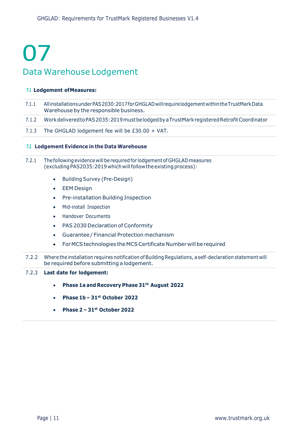# 07 Data Warehouse Lodgement

#### **7.1 Lodgement ofMeasures:**

- 7.1.1 AllinstallationsunderPAS2030:2017forGHGLADwillrequirelodgementwithintheTrustMarkData Warehouse by the responsible business.
- 7.1.2 WorkdeliveredtoPAS2035:2019mustbelodgedbyaTrustMarkregisteredRetrofitCoordinator
- 7.1.3 The GHGLAD lodgement fee will be £30.00 + VAT.

#### **7.2 Lodgement Evidence in the Data Warehouse**

- 7.2.1 Thefollowing evidence will be required for lodgement of GHGLAD measures (excluding PAS2035:2019 which will follow the existing process):
	- Building Survey (Pre-Design)
	- EEM Design
	- Pre-installation Building Inspection
	- Mid-install Inspection
	- Handover Documents
	- PAS 2030 Declaration of Conformity
	- Guarantee / Financial Protection mechanism
	- For MCS technologies the MCS Certificate Number will be required
- 7.2.2 Where the installation requires notification ofBuilding Regulations, a self-declaration statement will be required before submitting a lodgement.

#### 7.2.3 **Last date for lodgement:**

- **Phase 1a and Recovery Phase 31th August 2022**
- **Phase 1b – 31st October 2022**
- **Phase 2 – 31st October 2022**